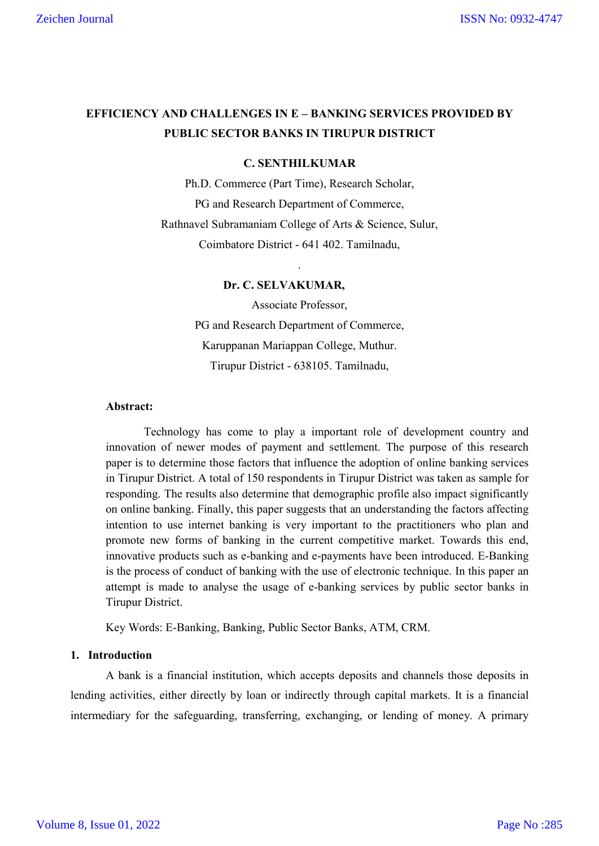# **EFFICIENCY AND CHALLENGES IN E – BANKING SERVICES PROVIDED BY PUBLIC SECTOR BANKS IN TIRUPUR DISTRICT**

#### **C. SENTHILKUMAR**

Ph.D. Commerce (Part Time), Research Scholar, PG and Research Department of Commerce, Rathnavel Subramaniam College of Arts & Science, Sulur, Coimbatore District - 641 402. Tamilnadu,

.

## **Dr. C. SELVAKUMAR,**

Associate Professor, PG and Research Department of Commerce, Karuppanan Mariappan College, Muthur. Tirupur District - 638105. Tamilnadu,

# **Abstract:**

Technology has come to play a important role of development country and innovation of newer modes of payment and settlement. The purpose of this research paper is to determine those factors that influence the adoption of online banking services in Tirupur District. A total of 150 respondents in Tirupur District was taken as sample for responding. The results also determine that demographic profile also impact significantly on online banking. Finally, this paper suggests that an understanding the factors affecting intention to use internet banking is very important to the practitioners who plan and promote new forms of banking in the current competitive market. Towards this end, innovative products such as e-banking and e-payments have been introduced. E-Banking is the process of conduct of banking with the use of electronic technique. In this paper an attempt is made to analyse the usage of e-banking services by public sector banks in Tirupur District.

Key Words: E-Banking, Banking, Public Sector Banks, ATM, CRM.

## **1. Introduction**

A bank is a financial institution, which accepts deposits and channels those deposits in lending activities, either directly by loan or indirectly through capital markets. It is a financial intermediary for the safeguarding, transferring, exchanging, or lending of money. A primary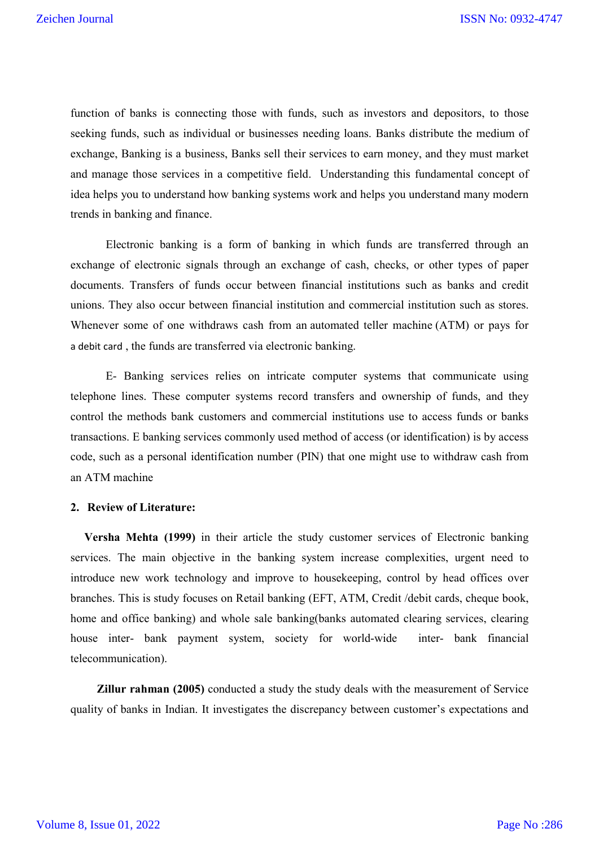function of banks is connecting those with funds, such as investors and depositors, to those seeking funds, such as individual or businesses needing loans. Banks distribute the medium of exchange, Banking is a business, Banks sell their services to earn money, and they must market and manage those services in a competitive field. Understanding this fundamental concept of idea helps you to understand how banking systems work and helps you understand many modern trends in banking and finance.

Electronic banking is a form of banking in which funds are transferred through an exchange of electronic signals through an exchange of cash, checks, or other types of paper documents. Transfers of funds occur between financial institutions such as banks and credit unions. They also occur between financial institution and commercial institution such as stores. Whenever some of one withdraws cash from an automated teller machine (ATM) or pays for a debit card , the funds are transferred via electronic banking.

E- Banking services relies on intricate computer systems that communicate using telephone lines. These computer systems record transfers and ownership of funds, and they control the methods bank customers and commercial institutions use to access funds or banks transactions. E banking services commonly used method of access (or identification) is by access code, such as a personal identification number (PIN) that one might use to withdraw cash from an ATM machine

#### **2. Review of Literature:**

**Versha Mehta (1999)** in their article the study customer services of Electronic banking services. The main objective in the banking system increase complexities, urgent need to introduce new work technology and improve to housekeeping, control by head offices over branches. This is study focuses on Retail banking (EFT, ATM, Credit /debit cards, cheque book, home and office banking) and whole sale banking(banks automated clearing services, clearing house inter- bank payment system, society for world-wide inter- bank financial telecommunication).

 **Zillur rahman (2005)** conducted a study the study deals with the measurement of Service quality of banks in Indian. It investigates the discrepancy between customer's expectations and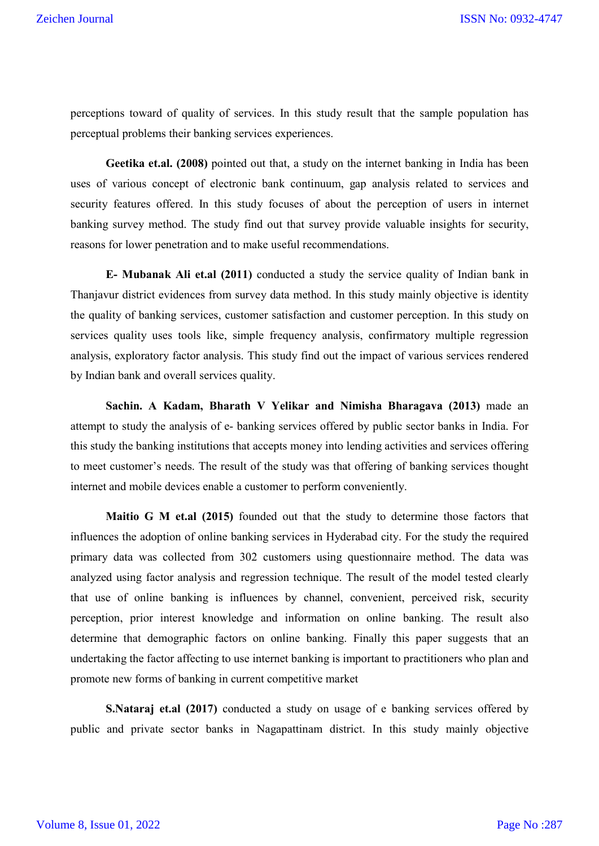perceptions toward of quality of services. In this study result that the sample population has perceptual problems their banking services experiences.

**Geetika et.al. (2008)** pointed out that, a study on the internet banking in India has been uses of various concept of electronic bank continuum, gap analysis related to services and security features offered. In this study focuses of about the perception of users in internet banking survey method. The study find out that survey provide valuable insights for security, reasons for lower penetration and to make useful recommendations.

**E- Mubanak Ali et.al (2011)** conducted a study the service quality of Indian bank in Thanjavur district evidences from survey data method. In this study mainly objective is identity the quality of banking services, customer satisfaction and customer perception. In this study on services quality uses tools like, simple frequency analysis, confirmatory multiple regression analysis, exploratory factor analysis. This study find out the impact of various services rendered by Indian bank and overall services quality.

**Sachin. A Kadam, Bharath V Yelikar and Nimisha Bharagava (2013)** made an attempt to study the analysis of e- banking services offered by public sector banks in India. For this study the banking institutions that accepts money into lending activities and services offering to meet customer's needs. The result of the study was that offering of banking services thought internet and mobile devices enable a customer to perform conveniently.

**Maitio G M et.al (2015)** founded out that the study to determine those factors that influences the adoption of online banking services in Hyderabad city. For the study the required primary data was collected from 302 customers using questionnaire method. The data was analyzed using factor analysis and regression technique. The result of the model tested clearly that use of online banking is influences by channel, convenient, perceived risk, security perception, prior interest knowledge and information on online banking. The result also determine that demographic factors on online banking. Finally this paper suggests that an undertaking the factor affecting to use internet banking is important to practitioners who plan and promote new forms of banking in current competitive market

**S.Nataraj et.al (2017)** conducted a study on usage of e banking services offered by public and private sector banks in Nagapattinam district. In this study mainly objective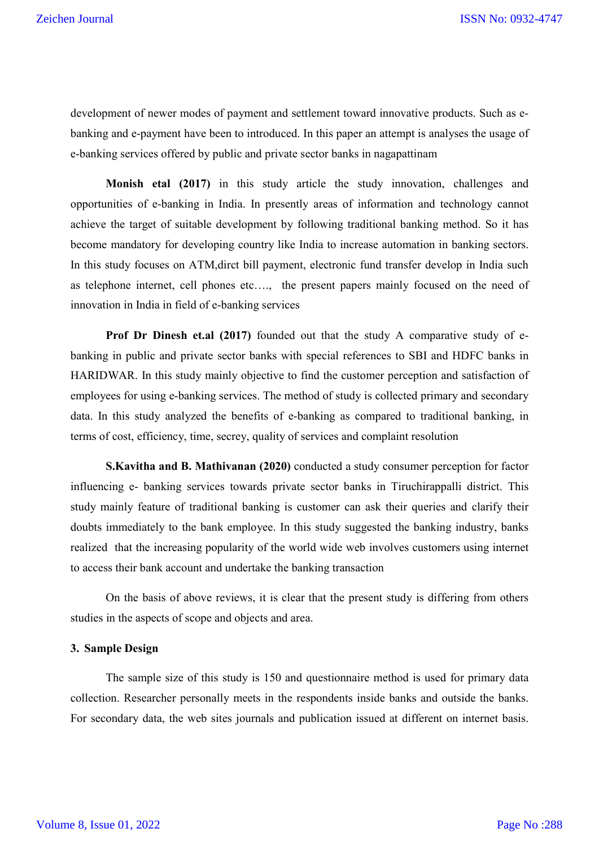development of newer modes of payment and settlement toward innovative products. Such as ebanking and e-payment have been to introduced. In this paper an attempt is analyses the usage of e-banking services offered by public and private sector banks in nagapattinam

**Monish etal (2017)** in this study article the study innovation, challenges and opportunities of e-banking in India. In presently areas of information and technology cannot achieve the target of suitable development by following traditional banking method. So it has become mandatory for developing country like India to increase automation in banking sectors. In this study focuses on ATM,dirct bill payment, electronic fund transfer develop in India such as telephone internet, cell phones etc…., the present papers mainly focused on the need of innovation in India in field of e-banking services

**Prof Dr Dinesh et.al (2017)** founded out that the study A comparative study of ebanking in public and private sector banks with special references to SBI and HDFC banks in HARIDWAR. In this study mainly objective to find the customer perception and satisfaction of employees for using e-banking services. The method of study is collected primary and secondary data. In this study analyzed the benefits of e-banking as compared to traditional banking, in terms of cost, efficiency, time, secrey, quality of services and complaint resolution

**S.Kavitha and B. Mathivanan (2020)** conducted a study consumer perception for factor influencing e- banking services towards private sector banks in Tiruchirappalli district. This study mainly feature of traditional banking is customer can ask their queries and clarify their doubts immediately to the bank employee. In this study suggested the banking industry, banks realized that the increasing popularity of the world wide web involves customers using internet to access their bank account and undertake the banking transaction

On the basis of above reviews, it is clear that the present study is differing from others studies in the aspects of scope and objects and area.

## **3. Sample Design**

The sample size of this study is 150 and questionnaire method is used for primary data collection. Researcher personally meets in the respondents inside banks and outside the banks. For secondary data, the web sites journals and publication issued at different on internet basis.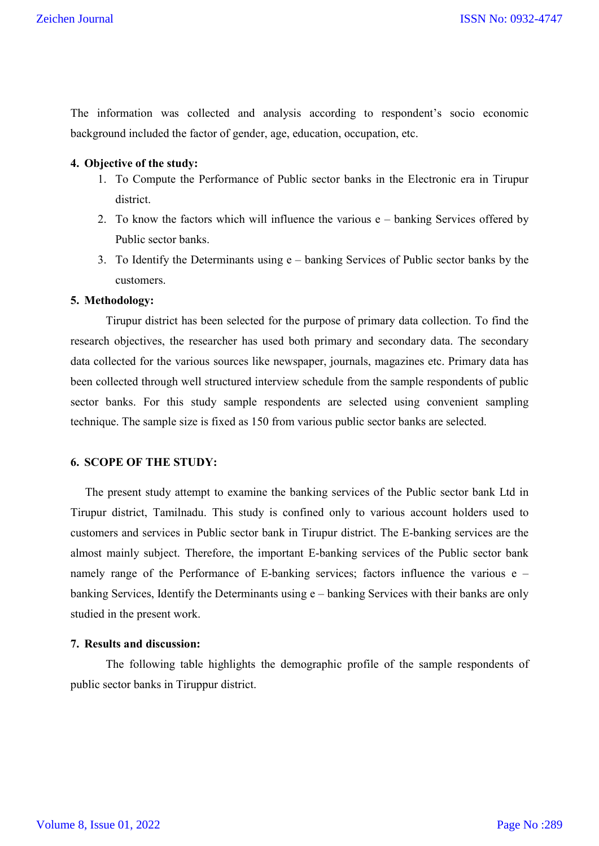The information was collected and analysis according to respondent's socio economic background included the factor of gender, age, education, occupation, etc.

## **4. Objective of the study:**

- 1. To Compute the Performance of Public sector banks in the Electronic era in Tirupur district.
- 2. To know the factors which will influence the various e banking Services offered by Public sector banks.
- 3. To Identify the Determinants using e banking Services of Public sector banks by the customers.

#### **5. Methodology:**

Tirupur district has been selected for the purpose of primary data collection. To find the research objectives, the researcher has used both primary and secondary data. The secondary data collected for the various sources like newspaper, journals, magazines etc. Primary data has been collected through well structured interview schedule from the sample respondents of public sector banks. For this study sample respondents are selected using convenient sampling technique. The sample size is fixed as 150 from various public sector banks are selected.

## **6. SCOPE OF THE STUDY:**

 The present study attempt to examine the banking services of the Public sector bank Ltd in Tirupur district, Tamilnadu. This study is confined only to various account holders used to customers and services in Public sector bank in Tirupur district. The E-banking services are the almost mainly subject. Therefore, the important E-banking services of the Public sector bank namely range of the Performance of E-banking services; factors influence the various e – banking Services, Identify the Determinants using e – banking Services with their banks are only studied in the present work.

## **7. Results and discussion:**

The following table highlights the demographic profile of the sample respondents of public sector banks in Tiruppur district.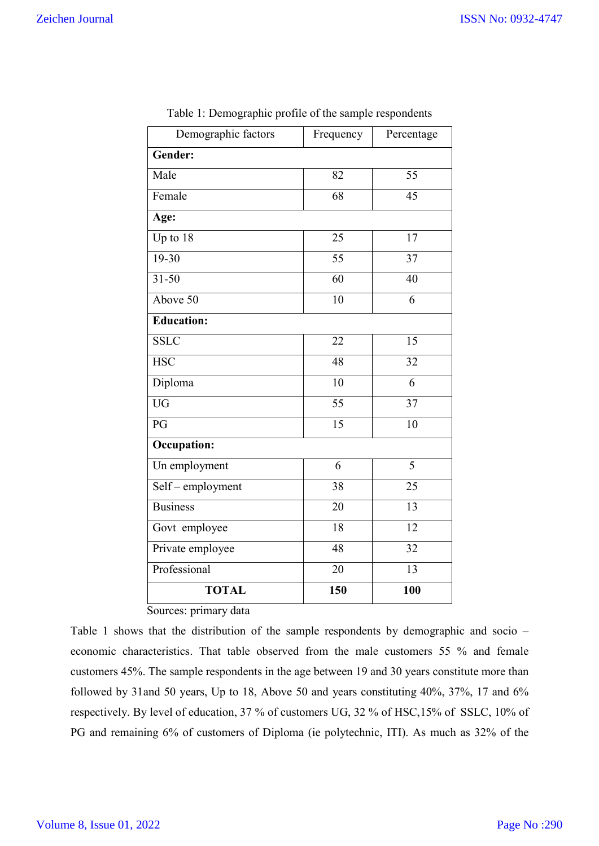| Demographic factors                  | Frequency       | Percentage      |
|--------------------------------------|-----------------|-----------------|
| Gender:                              |                 |                 |
| Male                                 | 82              | 55              |
| Female                               | $\overline{68}$ | $\overline{45}$ |
| Age:                                 |                 |                 |
| Up to 18                             | 25              | 17              |
| $19 - 30$                            | 55              | 37              |
| $31 - 50$                            | 60              | 40              |
| Above 50                             | $\overline{10}$ | 6               |
| <b>Education:</b>                    |                 |                 |
| <b>SSLC</b>                          | 22              | 15              |
| <b>HSC</b>                           | $\overline{48}$ | 32              |
| Diploma                              | 10              | 6               |
| $\overline{UG}$                      | 55              | 37              |
| PG                                   | 15              | 10              |
| <b>Occupation:</b>                   |                 |                 |
| Un employment                        | 6               | 5               |
| $\overline{\text{Self-}}$ employment | 38              | $\overline{25}$ |
| <b>Business</b>                      | 20              | $\overline{13}$ |
| Govt employee                        | 18              | $\overline{12}$ |
| Private employee                     | 48              | 32              |
| Professional                         | 20              | 13              |
| <b>TOTAL</b><br>$\sim$               | 150             | 100             |

| Table 1: Demographic profile of the sample respondents |  |  |
|--------------------------------------------------------|--|--|
|                                                        |  |  |

Sources: primary data

Table 1 shows that the distribution of the sample respondents by demographic and socio – economic characteristics. That table observed from the male customers 55 % and female customers 45%. The sample respondents in the age between 19 and 30 years constitute more than followed by 31and 50 years, Up to 18, Above 50 and years constituting 40%, 37%, 17 and 6% respectively. By level of education, 37 % of customers UG, 32 % of HSC,15% of SSLC, 10% of PG and remaining 6% of customers of Diploma (ie polytechnic, ITI). As much as 32% of the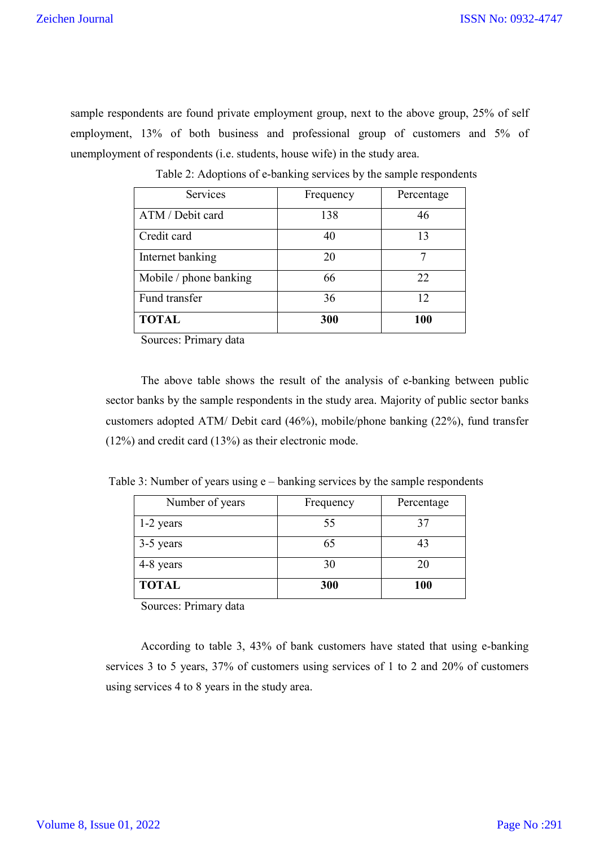sample respondents are found private employment group, next to the above group, 25% of self employment, 13% of both business and professional group of customers and 5% of unemployment of respondents (i.e. students, house wife) in the study area.

| Services               | Frequency | Percentage |
|------------------------|-----------|------------|
| ATM / Debit card       | 138       | 46         |
| Credit card            | 40        | 13         |
| Internet banking       | 20        |            |
| Mobile / phone banking | 66        | 22         |
| Fund transfer          | 36        | 12         |
| <b>TOTAL</b>           | 300       | 100        |

Table 2: Adoptions of e-banking services by the sample respondents

Sources: Primary data

The above table shows the result of the analysis of e-banking between public sector banks by the sample respondents in the study area. Majority of public sector banks customers adopted ATM/ Debit card (46%), mobile/phone banking (22%), fund transfer (12%) and credit card (13%) as their electronic mode.

Table 3: Number of years using e – banking services by the sample respondents

| Number of years | Frequency | Percentage |
|-----------------|-----------|------------|
| 1-2 years       | 55        |            |
| 3-5 years       | 65        |            |
| 4-8 years       | 30        | 20         |
| <b>TOTAL</b>    | 300       | <b>100</b> |

Sources: Primary data

According to table 3, 43% of bank customers have stated that using e-banking services 3 to 5 years, 37% of customers using services of 1 to 2 and 20% of customers using services 4 to 8 years in the study area.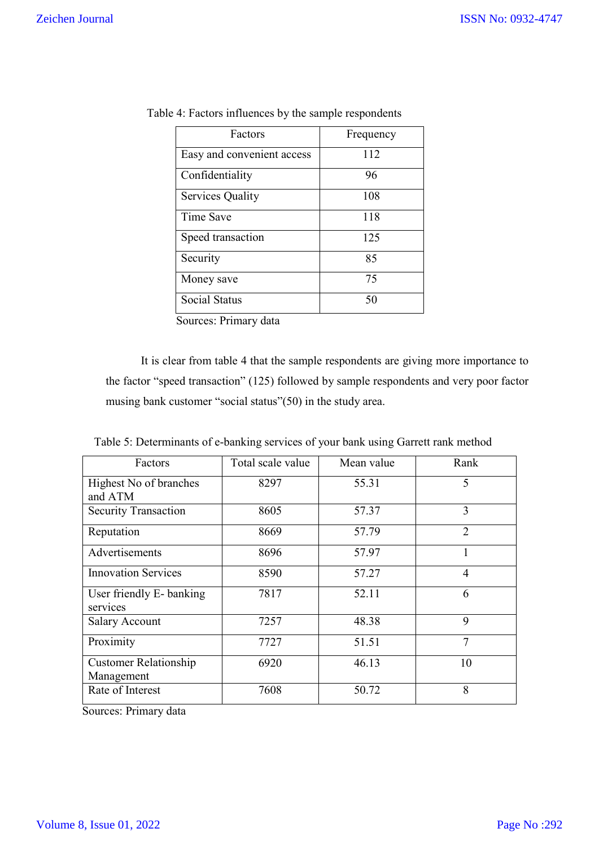| Factors                    | Frequency |
|----------------------------|-----------|
| Easy and convenient access | 112       |
| Confidentiality            | 96        |
| <b>Services Quality</b>    | 108       |
| Time Save                  | 118       |
| Speed transaction          | 125       |
| Security                   | 85        |
| Money save                 | 75        |
| <b>Social Status</b>       | 50        |

Sources: Primary data

It is clear from table 4 that the sample respondents are giving more importance to the factor "speed transaction" (125) followed by sample respondents and very poor factor musing bank customer "social status"(50) in the study area.

|  |  | Table 5: Determinants of e-banking services of your bank using Garrett rank method |
|--|--|------------------------------------------------------------------------------------|
|  |  |                                                                                    |

| Factors                                    | Total scale value | Mean value | Rank           |
|--------------------------------------------|-------------------|------------|----------------|
| Highest No of branches                     | 8297              | 55.31      | 5              |
| and ATM<br><b>Security Transaction</b>     | 8605              | 57.37      | 3              |
|                                            |                   |            |                |
| Reputation                                 | 8669              | 57.79      | $\overline{2}$ |
| Advertisements                             | 8696              | 57.97      |                |
| <b>Innovation Services</b>                 | 8590              | 57.27      | $\overline{4}$ |
| User friendly E- banking<br>services       | 7817              | 52.11      | 6              |
| <b>Salary Account</b>                      | 7257              | 48.38      | 9              |
| Proximity                                  | 7727              | 51.51      | 7              |
| <b>Customer Relationship</b><br>Management | 6920              | 46.13      | 10             |
| Rate of Interest                           | 7608              | 50.72      | 8              |

Sources: Primary data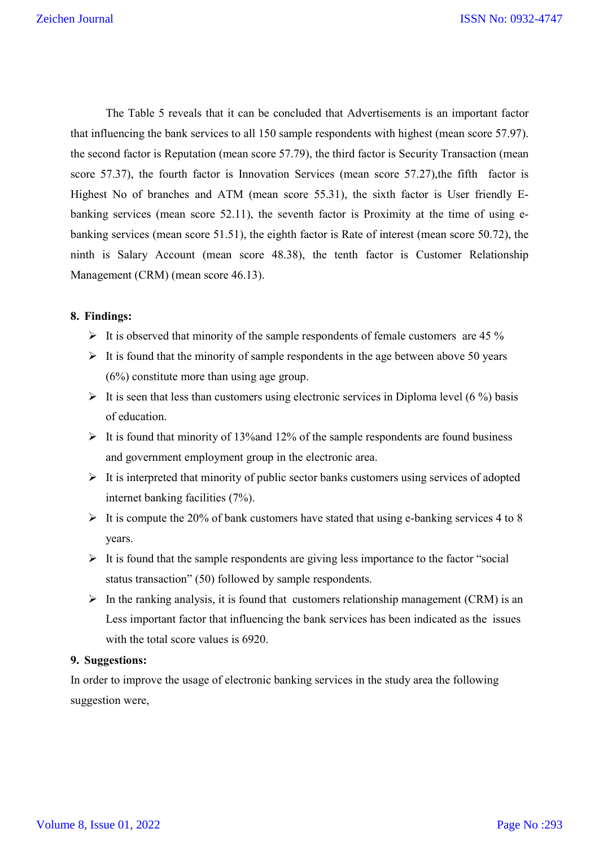The Table 5 reveals that it can be concluded that Advertisements is an important factor that influencing the bank services to all 150 sample respondents with highest (mean score 57.97). the second factor is Reputation (mean score 57.79), the third factor is Security Transaction (mean score 57.37), the fourth factor is Innovation Services (mean score 57.27), the fifth factor is Highest No of branches and ATM (mean score 55.31), the sixth factor is User friendly Ebanking services (mean score 52.11), the seventh factor is Proximity at the time of using ebanking services (mean score 51.51), the eighth factor is Rate of interest (mean score 50.72), the ninth is Salary Account (mean score 48.38), the tenth factor is Customer Relationship Management (CRM) (mean score 46.13).

## **8. Findings:**

- It is observed that minority of the sample respondents of female customers are 45  $\%$
- $\triangleright$  It is found that the minority of sample respondents in the age between above 50 years (6%) constitute more than using age group.
- $\triangleright$  It is seen that less than customers using electronic services in Diploma level (6 %) basis of education.
- $\triangleright$  It is found that minority of 13% and 12% of the sample respondents are found business and government employment group in the electronic area.
- $\triangleright$  It is interpreted that minority of public sector banks customers using services of adopted internet banking facilities (7%).
- $\triangleright$  It is compute the 20% of bank customers have stated that using e-banking services 4 to 8 years.
- $\triangleright$  It is found that the sample respondents are giving less importance to the factor "social" status transaction" (50) followed by sample respondents.
- $\triangleright$  In the ranking analysis, it is found that customers relationship management (CRM) is an Less important factor that influencing the bank services has been indicated as the issues with the total score values is 6920.

## **9. Suggestions:**

In order to improve the usage of electronic banking services in the study area the following suggestion were,